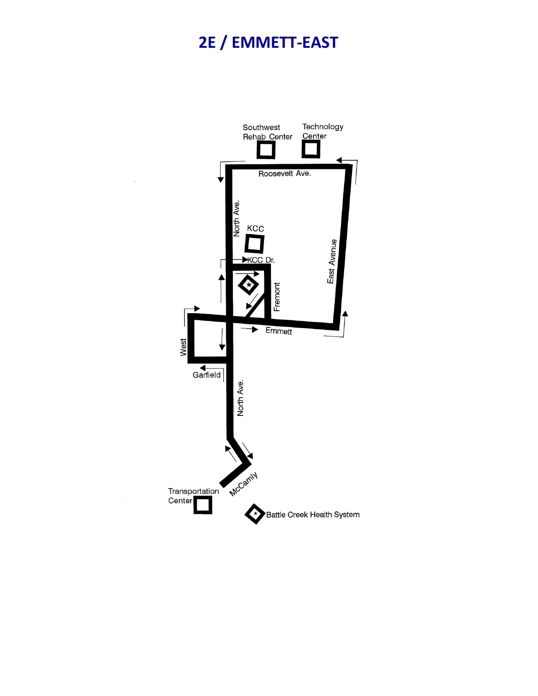## 2E / EMMETT-EAST

l,